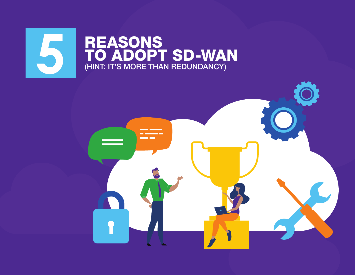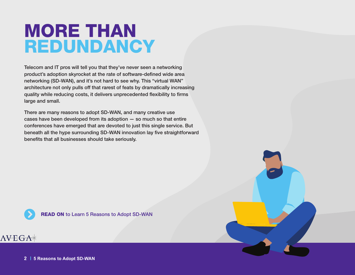# MORE THAN REDUNDANCY

Telecom and IT pros will tell you that they've never seen a networking product's adoption skyrocket at the rate of software-defined wide area networking (SD-WAN), and it's not hard to see why. This "virtual WAN" architecture not only pulls off that rarest of feats by dramatically increasing quality while reducing costs, it delivers unprecedented flexibility to firms large and small.

There are many reasons to adopt SD-WAN, and many creative use cases have been developed from its adoption — so much so that entire conferences have emerged that are devoted to just this single service. But beneath all the hype surrounding SD-WAN innovation lay five straightforward benefits that all businesses should take seriously.



**READ ON to Learn 5 Reasons to Adopt SD-WAN** 

## $AVEGA*$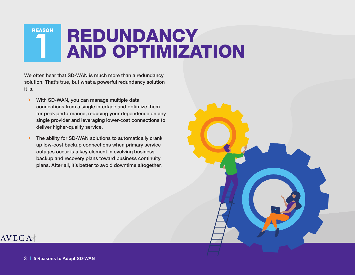**REDUNDANCY<br>AND OPTIMIZATION REASON** 

We often hear that SD-WAN is much more than a redundancy solution. That's true, but what a powerful redundancy solution it is.

- **With SD-WAN, you can manage multiple data** connections from a single interface and optimize them for peak performance, reducing your dependence on any single provider and leveraging lower-cost connections to deliver higher-quality service.
- > The ability for SD-WAN solutions to automatically crank up low-cost backup connections when primary service outages occur is a key element in evolving business backup and recovery plans toward business continuity plans. After all, it's better to avoid downtime altogether.

### $\triangle VEGA\ast$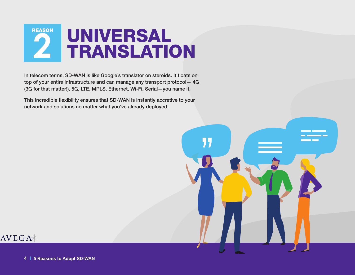

In telecom terms, SD-WAN is like Google's translator on steroids. It floats on top of your entire infrastructure and can manage any transport protocol— 4G (3G for that matter!), 5G, LTE, MPLS, Ethernet, Wi-Fi, Serial—you name it.

This incredible flexibility ensures that SD-WAN is instantly accretive to your network and solutions no matter what you've already deployed.

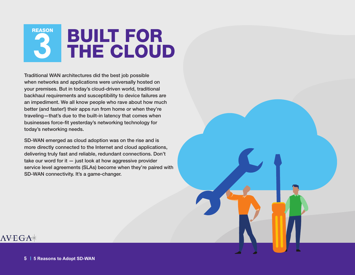# BUILT FOR **3** THE CLOUD **REASON**

Traditional WAN architectures did the best job possible when networks and applications were universally hosted on your premises. But in today's cloud-driven world, traditional backhaul requirements and susceptibility to device failures are an impediment. We all know people who rave about how much better (and faster!) their apps run from home or when they're traveling—that's due to the built-in latency that comes when businesses force-fit yesterday's networking technology for today's networking needs.

SD-WAN emerged as cloud adoption was on the rise and is more directly connected to the Internet and cloud applications, delivering truly fast and reliable, redundant connections. Don't take our word for it  $-$  just look at how aggressive provider service level agreements (SLAs) become when they're paired with SD-WAN connectivity. It's a game-changer.

## $\triangle VEGA\ast$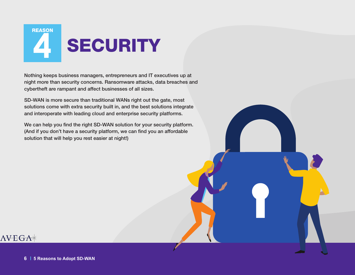

Nothing keeps business managers, entrepreneurs and IT executives up at night more than security concerns. Ransomware attacks, data breaches and cybertheft are rampant and affect businesses of all sizes.

SD-WAN is more secure than traditional WANs right out the gate, most solutions come with extra security built in, and the best solutions integrate and interoperate with leading cloud and enterprise security platforms.

We can help you find the right SD-WAN solution for your security platform. (And if you don't have a security platform, we can find you an affordable solution that will help you rest easier at night!)

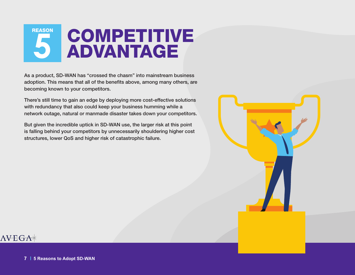

As a product, SD-WAN has "crossed the chasm" into mainstream business adoption. This means that all of the benefits above, among many others, are becoming known to your competitors.

There's still time to gain an edge by deploying more cost-effective solutions with redundancy that also could keep your business humming while a network outage, natural or manmade disaster takes down your competitors.

But given the incredible uptick in SD-WAN use, the larger risk at this point is falling behind your competitors by unnecessarily shouldering higher cost structures, lower QoS and higher risk of catastrophic failure.



### $\triangle VEGA\ast$